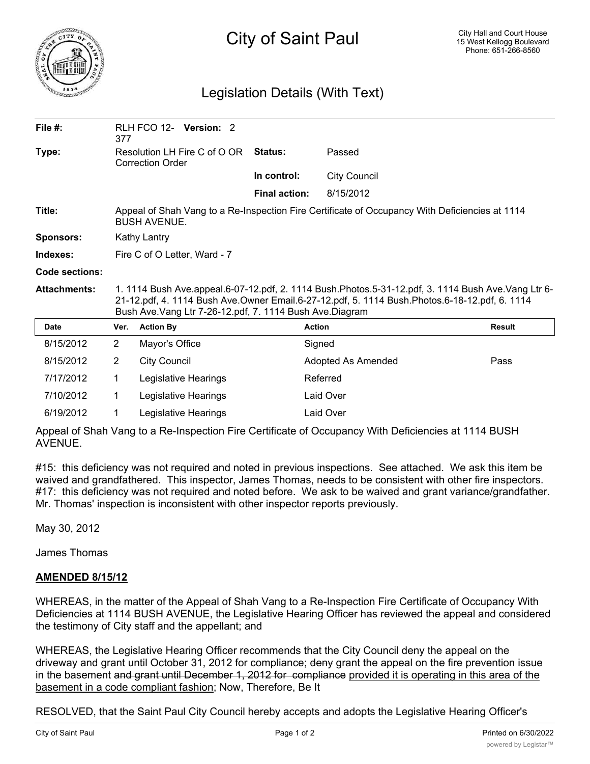

## City of Saint Paul

## Legislation Details (With Text)

| File $#$ :          | 377                                                                                                                                                                                                                                                              | RLH FCO 12- Version: 2 |                      |  |                      |                     |        |
|---------------------|------------------------------------------------------------------------------------------------------------------------------------------------------------------------------------------------------------------------------------------------------------------|------------------------|----------------------|--|----------------------|---------------------|--------|
| Type:               | Resolution LH Fire C of O OR<br><b>Correction Order</b>                                                                                                                                                                                                          |                        |                      |  | Status:              | Passed              |        |
|                     |                                                                                                                                                                                                                                                                  |                        |                      |  | In control:          | <b>City Council</b> |        |
|                     |                                                                                                                                                                                                                                                                  |                        |                      |  | <b>Final action:</b> | 8/15/2012           |        |
| Title:              | Appeal of Shah Vang to a Re-Inspection Fire Certificate of Occupancy With Deficiencies at 1114<br><b>BUSH AVENUE.</b>                                                                                                                                            |                        |                      |  |                      |                     |        |
| <b>Sponsors:</b>    | Kathy Lantry                                                                                                                                                                                                                                                     |                        |                      |  |                      |                     |        |
| Indexes:            | Fire C of O Letter, Ward - 7                                                                                                                                                                                                                                     |                        |                      |  |                      |                     |        |
| Code sections:      |                                                                                                                                                                                                                                                                  |                        |                      |  |                      |                     |        |
| <b>Attachments:</b> | 1. 1114 Bush Ave.appeal.6-07-12.pdf, 2. 1114 Bush.Photos.5-31-12.pdf, 3. 1114 Bush Ave.Vang Ltr 6-<br>21-12.pdf, 4. 1114 Bush Ave.Owner Email.6-27-12.pdf, 5. 1114 Bush.Photos.6-18-12.pdf, 6. 1114<br>Bush Ave. Vang Ltr 7-26-12.pdf, 7. 1114 Bush Ave. Diagram |                        |                      |  |                      |                     |        |
| Date                | Ver.                                                                                                                                                                                                                                                             | <b>Action By</b>       |                      |  |                      | <b>Action</b>       | Result |
| 8/15/2012           | 2                                                                                                                                                                                                                                                                | Mayor's Office         |                      |  |                      | Signed              |        |
| 8/15/2012           | $\overline{2}$                                                                                                                                                                                                                                                   | <b>City Council</b>    |                      |  |                      | Adopted As Amended  | Pass   |
| 7/17/2012           | $\mathbf 1$                                                                                                                                                                                                                                                      |                        | Legislative Hearings |  |                      | Referred            |        |
| 7/10/2012           | 1.                                                                                                                                                                                                                                                               |                        | Legislative Hearings |  |                      | Laid Over           |        |
| 6/19/2012           | 1                                                                                                                                                                                                                                                                |                        | Legislative Hearings |  |                      | Laid Over           |        |

Appeal of Shah Vang to a Re-Inspection Fire Certificate of Occupancy With Deficiencies at 1114 BUSH AVENUE.

#15: this deficiency was not required and noted in previous inspections. See attached. We ask this item be waived and grandfathered. This inspector, James Thomas, needs to be consistent with other fire inspectors. #17: this deficiency was not required and noted before. We ask to be waived and grant variance/grandfather. Mr. Thomas' inspection is inconsistent with other inspector reports previously.

May 30, 2012

James Thomas

## **AMENDED 8/15/12**

WHEREAS, in the matter of the Appeal of Shah Vang to a Re-Inspection Fire Certificate of Occupancy With Deficiencies at 1114 BUSH AVENUE, the Legislative Hearing Officer has reviewed the appeal and considered the testimony of City staff and the appellant; and

WHEREAS, the Legislative Hearing Officer recommends that the City Council deny the appeal on the driveway and grant until October 31, 2012 for compliance; deny grant the appeal on the fire prevention issue in the basement and grant until December 1, 2012 for compliance provided it is operating in this area of the basement in a code compliant fashion; Now, Therefore, Be It

RESOLVED, that the Saint Paul City Council hereby accepts and adopts the Legislative Hearing Officer's